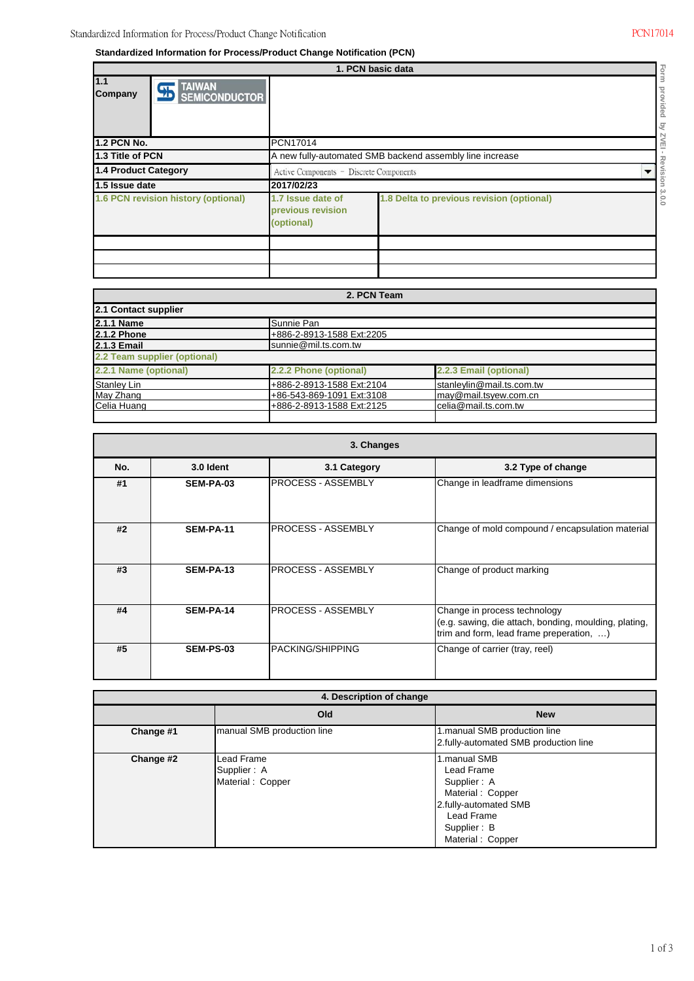ï

**Standardized Information for Process/Product Change Notification (PCN)**

|                                     | 1. PCN basic data<br>ó                                           |                                                          |                                           |         |  |  |
|-------------------------------------|------------------------------------------------------------------|----------------------------------------------------------|-------------------------------------------|---------|--|--|
| 1.1<br>Company                      | <b>TAIWAN</b><br>$\overline{\mathbf{A}}$<br><b>SEMICONDUCTOR</b> |                                                          |                                           | Bo<br>ੁ |  |  |
| <b>1.2 PCN No.</b>                  |                                                                  | <b>PCN17014</b>                                          |                                           | п       |  |  |
| 1.3 Title of PCN                    |                                                                  | A new fully-automated SMB backend assembly line increase |                                           |         |  |  |
| 1.4 Product Category                |                                                                  | Active Components - Discrete Components                  |                                           |         |  |  |
| 1.5 Issue date                      |                                                                  | 2017/02/23                                               |                                           |         |  |  |
| 1.6 PCN revision history (optional) |                                                                  | 1.7 Issue date of<br>previous revision<br>(optional)     | 1.8 Delta to previous revision (optional) | c<br>c  |  |  |
|                                     |                                                                  |                                                          |                                           |         |  |  |
|                                     |                                                                  |                                                          |                                           |         |  |  |
|                                     |                                                                  |                                                          |                                           |         |  |  |

| 2. PCN Team                  |                           |                           |  |  |  |
|------------------------------|---------------------------|---------------------------|--|--|--|
| 2.1 Contact supplier         |                           |                           |  |  |  |
| 2.1.1 Name                   | Sunnie Pan                |                           |  |  |  |
| <b>2.1.2 Phone</b>           | +886-2-8913-1588 Ext:2205 |                           |  |  |  |
| <b>2.1.3 Email</b>           | sunnie@mil.ts.com.tw      |                           |  |  |  |
| 2.2 Team supplier (optional) |                           |                           |  |  |  |
| 2.2.1 Name (optional)        | 2.2.2 Phone (optional)    | 2.2.3 Email (optional)    |  |  |  |
| <b>Stanley Lin</b>           | +886-2-8913-1588 Ext:2104 | stanleylin@mail.ts.com.tw |  |  |  |
| May Zhang                    | +86-543-869-1091 Ext:3108 | may@mail.tsyew.com.cn     |  |  |  |
| Celia Huang                  | +886-2-8913-1588 Ext:2125 | celia@mail.ts.com.tw      |  |  |  |
|                              |                           |                           |  |  |  |

| 3. Changes |                  |                           |                                                                                                                                   |  |  |
|------------|------------------|---------------------------|-----------------------------------------------------------------------------------------------------------------------------------|--|--|
| No.        | 3.0 Ident        | 3.1 Category              | 3.2 Type of change                                                                                                                |  |  |
| #1         | SEM-PA-03        | <b>PROCESS - ASSEMBLY</b> | Change in leadframe dimensions                                                                                                    |  |  |
| #2         | SEM-PA-11        | <b>PROCESS - ASSEMBLY</b> | Change of mold compound / encapsulation material                                                                                  |  |  |
| #3         | SEM-PA-13        | <b>PROCESS - ASSEMBLY</b> | Change of product marking                                                                                                         |  |  |
| #4         | SEM-PA-14        | <b>PROCESS - ASSEMBLY</b> | Change in process technology<br>(e.g. sawing, die attach, bonding, moulding, plating,<br>trim and form, lead frame preperation, ) |  |  |
| #5         | <b>SEM-PS-03</b> | <b>PACKING/SHIPPING</b>   | Change of carrier (tray, reel)                                                                                                    |  |  |

| 4. Description of change |                                               |                                                                                                                                         |  |  |
|--------------------------|-----------------------------------------------|-----------------------------------------------------------------------------------------------------------------------------------------|--|--|
|                          | Old                                           | <b>New</b>                                                                                                                              |  |  |
| Change #1                | manual SMB production line                    | 1.manual SMB production line<br>2.fully-automated SMB production line                                                                   |  |  |
| Change #2                | Lead Frame<br>Supplier: A<br>Material: Copper | 1.manual SMB<br>Lead Frame<br>Supplier: A<br>Material: Copper<br>2.fully-automated SMB<br>Lead Frame<br>Supplier: B<br>Material: Copper |  |  |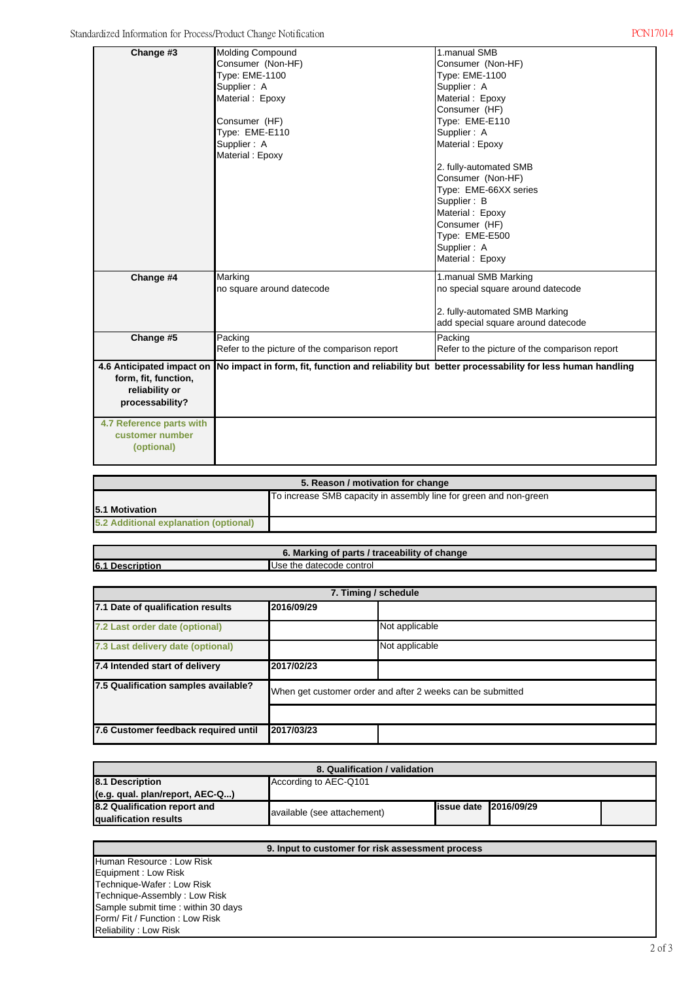| Change #3                 | Molding Compound                                                                                   | 1.manual SMB                                  |
|---------------------------|----------------------------------------------------------------------------------------------------|-----------------------------------------------|
|                           | Consumer (Non-HF)                                                                                  | Consumer (Non-HF)                             |
|                           | Type: EME-1100                                                                                     | Type: EME-1100                                |
|                           | Supplier: A                                                                                        | Supplier: A                                   |
|                           | Material: Epoxy                                                                                    | Material: Epoxy                               |
|                           |                                                                                                    | Consumer (HF)                                 |
|                           | Consumer (HF)                                                                                      | Type: EME-E110                                |
|                           | Type: EME-E110                                                                                     | Supplier: A                                   |
|                           | Supplier: A                                                                                        | Material: Epoxy                               |
|                           | Material: Epoxy                                                                                    |                                               |
|                           |                                                                                                    | 2. fully-automated SMB                        |
|                           |                                                                                                    | Consumer (Non-HF)                             |
|                           |                                                                                                    | Type: EME-66XX series                         |
|                           |                                                                                                    | Supplier: B                                   |
|                           |                                                                                                    | Material: Epoxy                               |
|                           |                                                                                                    | Consumer (HF)                                 |
|                           |                                                                                                    | Type: EME-E500                                |
|                           |                                                                                                    | Supplier: A                                   |
|                           |                                                                                                    | Material: Epoxy                               |
| Change #4                 | Marking                                                                                            | 1.manual SMB Marking                          |
|                           | no square around datecode                                                                          | no special square around datecode             |
|                           |                                                                                                    |                                               |
|                           |                                                                                                    | 2. fully-automated SMB Marking                |
|                           |                                                                                                    | add special square around datecode            |
| Change #5                 | Packing                                                                                            | Packing                                       |
|                           | Refer to the picture of the comparison report                                                      | Refer to the picture of the comparison report |
|                           |                                                                                                    |                                               |
| 4.6 Anticipated impact on | No impact in form, fit, function and reliability but better processability for less human handling |                                               |
| form, fit, function,      |                                                                                                    |                                               |
| reliability or            |                                                                                                    |                                               |
| processability?           |                                                                                                    |                                               |
| 4.7 Reference parts with  |                                                                                                    |                                               |
| customer number           |                                                                                                    |                                               |
| (optional)                |                                                                                                    |                                               |
|                           |                                                                                                    |                                               |
|                           |                                                                                                    |                                               |

| 5. Reason / motivation for change                                 |  |  |  |  |
|-------------------------------------------------------------------|--|--|--|--|
| To increase SMB capacity in assembly line for green and non-green |  |  |  |  |
| <b>15.1 Motivation</b>                                            |  |  |  |  |
| 5.2 Additional explanation (optional)                             |  |  |  |  |

Use the datecode control **6.1 Description 6. Marking of parts / traceability of change**

| 7. Timing / schedule                 |                                                            |  |  |  |
|--------------------------------------|------------------------------------------------------------|--|--|--|
| 7.1 Date of qualification results    | 2016/09/29                                                 |  |  |  |
| 7.2 Last order date (optional)       | Not applicable                                             |  |  |  |
| 7.3 Last delivery date (optional)    | Not applicable                                             |  |  |  |
| 7.4 Intended start of delivery       | 2017/02/23                                                 |  |  |  |
| 7.5 Qualification samples available? | When get customer order and after 2 weeks can be submitted |  |  |  |
|                                      |                                                            |  |  |  |
| 7.6 Customer feedback required until | 2017/03/23                                                 |  |  |  |

| 8. Qualification / validation                         |                             |                                |  |  |  |
|-------------------------------------------------------|-----------------------------|--------------------------------|--|--|--|
| According to AEC-Q101<br>8.1 Description              |                             |                                |  |  |  |
| (e.g. qual. plan/report, AEC-Q)                       |                             |                                |  |  |  |
| 8.2 Qualification report and<br>qualification results | available (see attachement) | <b>lissue date 12016/09/29</b> |  |  |  |

| 9. Input to customer for risk assessment process |  |  |  |  |
|--------------------------------------------------|--|--|--|--|
| <b>Human Resource: Low Risk</b>                  |  |  |  |  |
| Equipment: Low Risk                              |  |  |  |  |
| Technique-Wafer: Low Risk                        |  |  |  |  |
| Technique-Assembly: Low Risk                     |  |  |  |  |
| Sample submit time: within 30 days               |  |  |  |  |
| Form/Fit / Function: Low Risk                    |  |  |  |  |
| Reliability: Low Risk                            |  |  |  |  |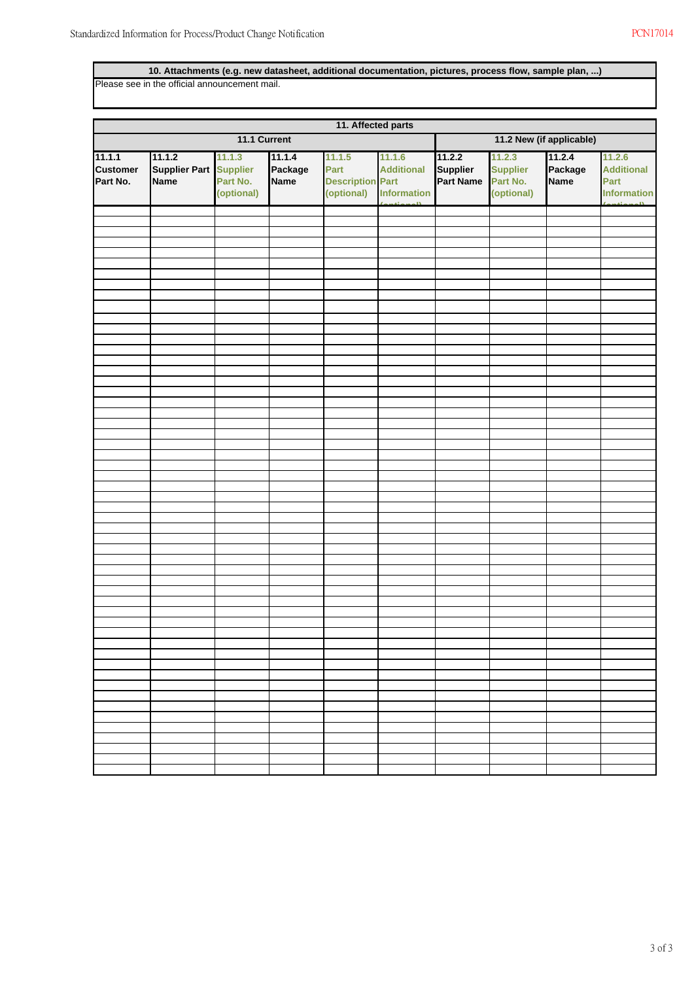## **10. Attachments (e.g. new datasheet, additional documentation, pictures, process flow, sample plan, ...)**

Please see in the official announcement mail.

|                                       | 11. Affected parts                            |                                                     |                                  |                                                         |                                                                   |                                               |                                                     |                                  |                                                                              |
|---------------------------------------|-----------------------------------------------|-----------------------------------------------------|----------------------------------|---------------------------------------------------------|-------------------------------------------------------------------|-----------------------------------------------|-----------------------------------------------------|----------------------------------|------------------------------------------------------------------------------|
| 11.1 Current                          |                                               |                                                     |                                  | 11.2 New (if applicable)                                |                                                                   |                                               |                                                     |                                  |                                                                              |
| 11.1.1<br><b>Customer</b><br>Part No. | 11.1.2<br><b>Supplier Part</b><br><b>Name</b> | 11.1.3<br><b>Supplier</b><br>Part No.<br>(optional) | 11.1.4<br>Package<br><b>Name</b> | 11.1.5<br>Part<br><b>Description Part</b><br>(optional) | 11.1.6<br><b>Additional</b><br><b>Information</b><br>$\sim$ $\mu$ | 11.2.2<br><b>Supplier</b><br><b>Part Name</b> | 11.2.3<br><b>Supplier</b><br>Part No.<br>(optional) | 11.2.4<br>Package<br><b>Name</b> | 11.2.6<br><b>Additional</b><br>Part<br><b>Information</b><br>$\overline{11}$ |
|                                       |                                               |                                                     |                                  |                                                         |                                                                   |                                               |                                                     |                                  |                                                                              |
|                                       |                                               |                                                     |                                  |                                                         |                                                                   |                                               |                                                     |                                  |                                                                              |
|                                       |                                               |                                                     |                                  |                                                         |                                                                   |                                               |                                                     |                                  |                                                                              |
|                                       |                                               |                                                     |                                  |                                                         |                                                                   |                                               |                                                     |                                  |                                                                              |
|                                       |                                               |                                                     |                                  |                                                         |                                                                   |                                               |                                                     |                                  |                                                                              |
|                                       |                                               |                                                     |                                  |                                                         |                                                                   |                                               |                                                     |                                  |                                                                              |
|                                       |                                               |                                                     |                                  |                                                         |                                                                   |                                               |                                                     |                                  |                                                                              |
|                                       |                                               |                                                     |                                  |                                                         |                                                                   |                                               |                                                     |                                  |                                                                              |
|                                       |                                               |                                                     |                                  |                                                         |                                                                   |                                               |                                                     |                                  |                                                                              |
|                                       |                                               |                                                     |                                  |                                                         |                                                                   |                                               |                                                     |                                  |                                                                              |
|                                       |                                               |                                                     |                                  |                                                         |                                                                   |                                               |                                                     |                                  |                                                                              |
|                                       |                                               |                                                     |                                  |                                                         |                                                                   |                                               |                                                     |                                  |                                                                              |
|                                       |                                               |                                                     |                                  |                                                         |                                                                   |                                               |                                                     |                                  |                                                                              |
|                                       |                                               |                                                     |                                  |                                                         |                                                                   |                                               |                                                     |                                  |                                                                              |
|                                       |                                               |                                                     |                                  |                                                         |                                                                   |                                               |                                                     |                                  |                                                                              |
|                                       |                                               |                                                     |                                  |                                                         |                                                                   |                                               |                                                     |                                  |                                                                              |
|                                       |                                               |                                                     |                                  |                                                         |                                                                   |                                               |                                                     |                                  |                                                                              |
|                                       |                                               |                                                     |                                  |                                                         |                                                                   |                                               |                                                     |                                  |                                                                              |
|                                       |                                               |                                                     |                                  |                                                         |                                                                   |                                               |                                                     |                                  |                                                                              |
|                                       |                                               |                                                     |                                  |                                                         |                                                                   |                                               |                                                     |                                  |                                                                              |
|                                       |                                               |                                                     |                                  |                                                         |                                                                   |                                               |                                                     |                                  |                                                                              |
|                                       |                                               |                                                     |                                  |                                                         |                                                                   |                                               |                                                     |                                  |                                                                              |
|                                       |                                               |                                                     |                                  |                                                         |                                                                   |                                               |                                                     |                                  |                                                                              |
|                                       |                                               |                                                     |                                  |                                                         |                                                                   |                                               |                                                     |                                  |                                                                              |
|                                       |                                               |                                                     |                                  |                                                         |                                                                   |                                               |                                                     |                                  |                                                                              |
|                                       |                                               |                                                     |                                  |                                                         |                                                                   |                                               |                                                     |                                  |                                                                              |
|                                       |                                               |                                                     |                                  |                                                         |                                                                   |                                               |                                                     |                                  |                                                                              |
|                                       |                                               |                                                     |                                  |                                                         |                                                                   |                                               |                                                     |                                  |                                                                              |
|                                       |                                               |                                                     |                                  |                                                         |                                                                   |                                               |                                                     |                                  |                                                                              |
|                                       |                                               |                                                     |                                  |                                                         |                                                                   |                                               |                                                     |                                  |                                                                              |
|                                       |                                               |                                                     |                                  |                                                         |                                                                   |                                               |                                                     |                                  |                                                                              |
|                                       |                                               |                                                     |                                  |                                                         |                                                                   |                                               |                                                     |                                  |                                                                              |
|                                       |                                               |                                                     |                                  |                                                         |                                                                   |                                               |                                                     |                                  |                                                                              |
|                                       |                                               |                                                     |                                  |                                                         |                                                                   |                                               |                                                     |                                  |                                                                              |
|                                       |                                               |                                                     |                                  |                                                         |                                                                   |                                               |                                                     |                                  |                                                                              |
|                                       |                                               |                                                     |                                  |                                                         |                                                                   |                                               |                                                     |                                  |                                                                              |
|                                       |                                               |                                                     |                                  |                                                         |                                                                   |                                               |                                                     |                                  |                                                                              |
|                                       |                                               |                                                     |                                  |                                                         |                                                                   |                                               |                                                     |                                  |                                                                              |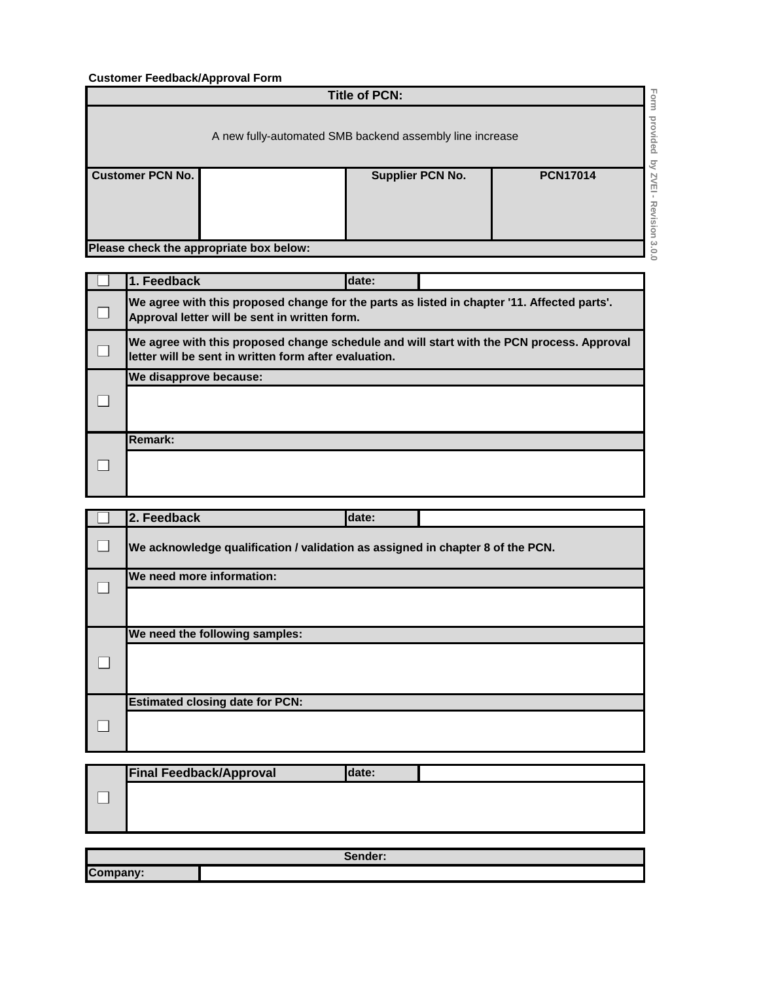## **Customer Feedback/Approval Form**

| <b>Title of PCN:</b>                    |                                                                                   |                         |                 |                  |  |
|-----------------------------------------|-----------------------------------------------------------------------------------|-------------------------|-----------------|------------------|--|
|                                         | Form<br>provided<br>A new fully-automated SMB backend assembly line increase<br>δ |                         |                 |                  |  |
| <b>Customer PCN No.</b>                 |                                                                                   | <b>Supplier PCN No.</b> | <b>PCN17014</b> | ZVEI<br>Revision |  |
| Please check the appropriate box below: |                                                                                   |                         |                 | $\frac{3}{2}$    |  |

| 1. Feedback                                                                                                                                        | date: |  |  |  |
|----------------------------------------------------------------------------------------------------------------------------------------------------|-------|--|--|--|
| We agree with this proposed change for the parts as listed in chapter '11. Affected parts'.<br>Approval letter will be sent in written form.       |       |  |  |  |
| We agree with this proposed change schedule and will start with the PCN process. Approval<br>letter will be sent in written form after evaluation. |       |  |  |  |
| We disapprove because:                                                                                                                             |       |  |  |  |
|                                                                                                                                                    |       |  |  |  |
| <b>Remark:</b>                                                                                                                                     |       |  |  |  |
|                                                                                                                                                    |       |  |  |  |

|  | 2. Feedback                                                                    | date: |  |
|--|--------------------------------------------------------------------------------|-------|--|
|  | We acknowledge qualification / validation as assigned in chapter 8 of the PCN. |       |  |
|  | We need more information:                                                      |       |  |
|  |                                                                                |       |  |
|  | We need the following samples:                                                 |       |  |
|  |                                                                                |       |  |
|  | <b>Estimated closing date for PCN:</b>                                         |       |  |
|  |                                                                                |       |  |

| <b>Final Feedback/Approval</b> | Idate: |  |
|--------------------------------|--------|--|
|                                |        |  |
|                                |        |  |
|                                |        |  |

| Sender:  |  |  |
|----------|--|--|
| Company: |  |  |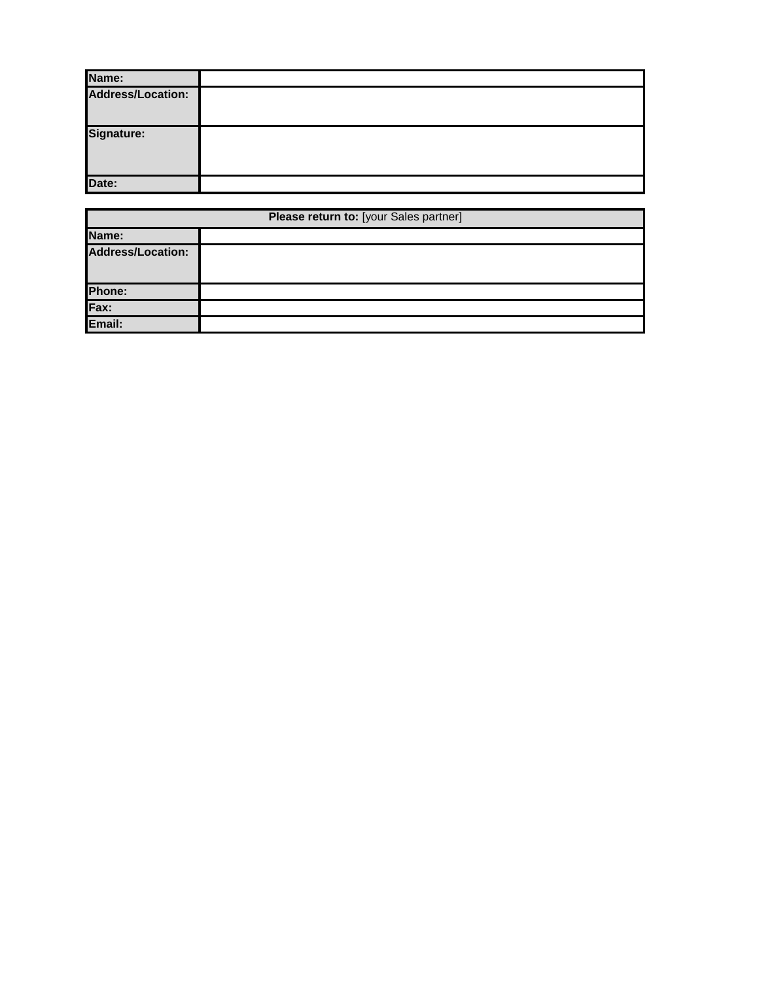| Name:                    |  |
|--------------------------|--|
| <b>Address/Location:</b> |  |
| Signature:               |  |
| Date:                    |  |

| Please return to: [your Sales partner] |  |  |  |  |
|----------------------------------------|--|--|--|--|
| Name:                                  |  |  |  |  |
| <b>Address/Location:</b>               |  |  |  |  |
| Phone:                                 |  |  |  |  |
| Fax:                                   |  |  |  |  |
| Email:                                 |  |  |  |  |